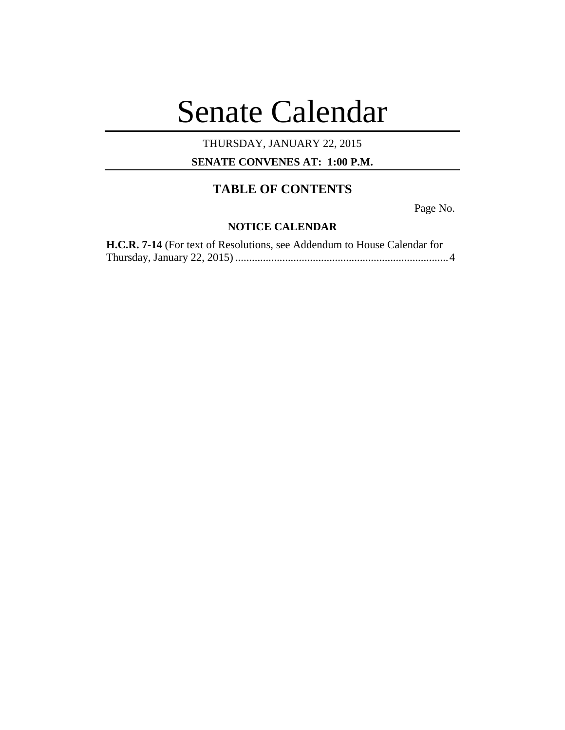# Senate Calendar

### THURSDAY, JANUARY 22, 2015

**SENATE CONVENES AT: 1:00 P.M.**

## **TABLE OF CONTENTS**

Page No.

#### **NOTICE CALENDAR**

| H.C.R. 7-14 (For text of Resolutions, see Addendum to House Calendar for |  |
|--------------------------------------------------------------------------|--|
|                                                                          |  |